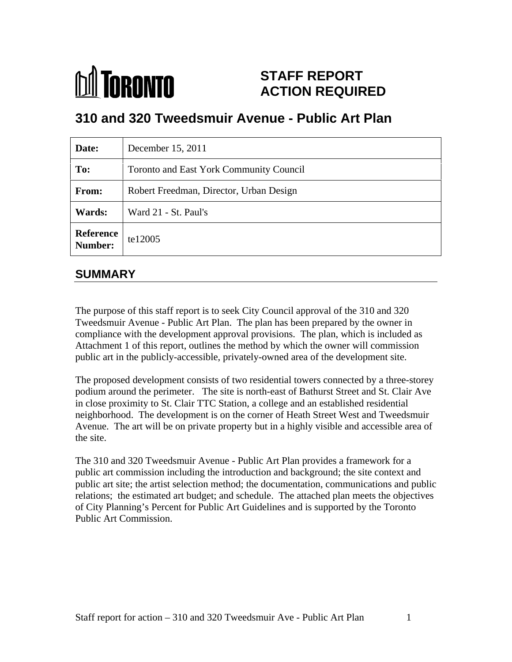

# **STAFF REPORT ACTION REQUIRED**

# **310 and 320 Tweedsmuir Avenue - Public Art Plan**

| Date:                        | December 15, 2011                       |
|------------------------------|-----------------------------------------|
| To:                          | Toronto and East York Community Council |
| From:                        | Robert Freedman, Director, Urban Design |
| <b>Wards:</b>                | Ward 21 - St. Paul's                    |
| Reference<br>Number: te12005 |                                         |

# **SUMMARY**

The purpose of this staff report is to seek City Council approval of the 310 and 320 Tweedsmuir Avenue - Public Art Plan. The plan has been prepared by the owner in compliance with the development approval provisions. The plan, which is included as Attachment 1 of this report, outlines the method by which the owner will commission public art in the publicly-accessible, privately-owned area of the development site.

The proposed development consists of two residential towers connected by a three-storey podium around the perimeter. The site is north-east of Bathurst Street and St. Clair Ave in close proximity to St. Clair TTC Station, a college and an established residential neighborhood. The development is on the corner of Heath Street West and Tweedsmuir Avenue. The art will be on private property but in a highly visible and accessible area of the site.

The 310 and 320 Tweedsmuir Avenue - Public Art Plan provides a framework for a public art commission including the introduction and background; the site context and public art site; the artist selection method; the documentation, communications and public relations; the estimated art budget; and schedule. The attached plan meets the objectives of City Planning's Percent for Public Art Guidelines and is supported by the Toronto Public Art Commission.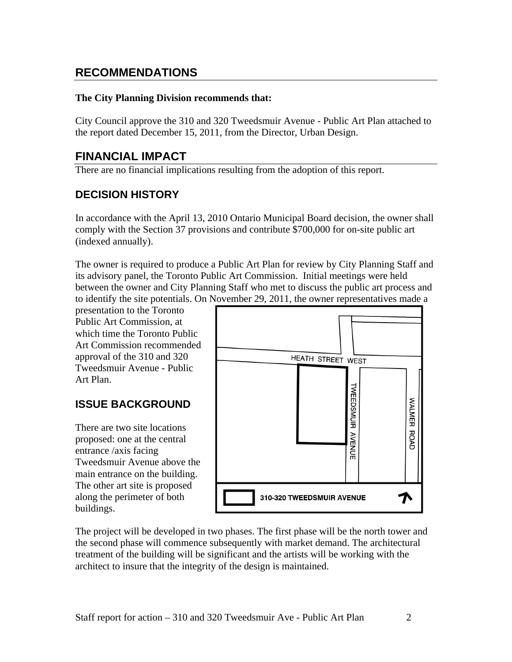# **RECOMMENDATIONS**

#### **The City Planning Division recommends that:**

City Council approve the 310 and 320 Tweedsmuir Avenue - Public Art Plan attached to the report dated December 15, 2011, from the Director, Urban Design.

# **FINANCIAL IMPACT**

There are no financial implications resulting from the adoption of this report.

# **DECISION HISTORY**

In accordance with the April 13, 2010 Ontario Municipal Board decision, the owner shall comply with the Section 37 provisions and contribute \$700,000 for on-site public art (indexed annually).

The owner is required to produce a Public Art Plan for review by City Planning Staff and its advisory panel, the Toronto Public Art Commission. Initial meetings were held between the owner and City Planning Staff who met to discuss the public art process and to identify the site potentials. On November 29, 2011, the owner representatives made a

presentation to the Toronto Public Art Commission, at which time the Toronto Public Art Commission recommended Tweedsmuir Avenue - Public

proposed: one at the central entrance /axis facing Tweedsmuir Avenue above the main entrance on the building. The other art site is proposed



buildings.<br>The project will be developed in two phases. The first phase will be the north tower and the second phase will commence subsequently with market demand. The architectural treatment of the building will be significant and the artists will be working with the architect to insure that the integrity of the design is maintained.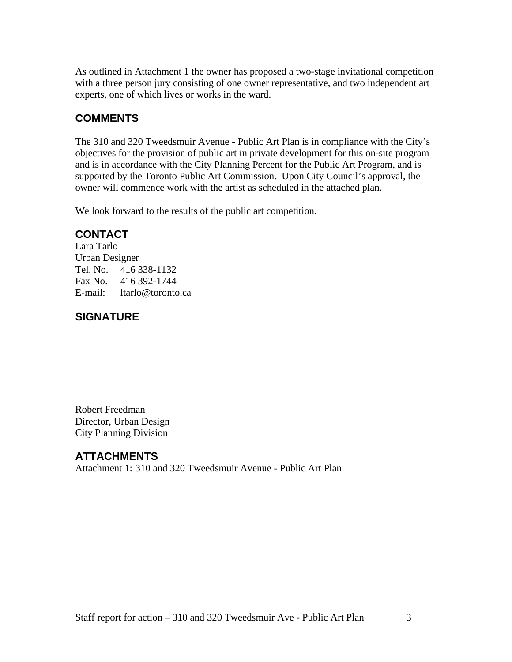As outlined in Attachment 1 the owner has proposed a two-stage invitational competition with a three person jury consisting of one owner representative, and two independent art experts, one of which lives or works in the ward.

# **COMMENTS**

The 310 and 320 Tweedsmuir Avenue - Public Art Plan is in compliance with the City's objectives for the provision of public art in private development for this on-site program and is in accordance with the City Planning Percent for the Public Art Program, and is supported by the Toronto Public Art Commission. Upon City Council's approval, the owner will commence work with the artist as scheduled in the attached plan.

We look forward to the results of the public art competition.

# **CONTACT**

Lara Tarlo Urban Designer Tel. No. 416 338-1132 Fax No. 416 392-1744 E-mail: ltarlo@toronto.ca

# **SIGNATURE**

Robert Freedman Director, Urban Design City Planning Division

# **ATTACHMENTS**

Attachment 1: 310 and 320 Tweedsmuir Avenue - Public Art Plan

 $\overline{\phantom{a}}$  , we can assume that the contract of  $\overline{\phantom{a}}$  , we can assume that the contract of  $\overline{\phantom{a}}$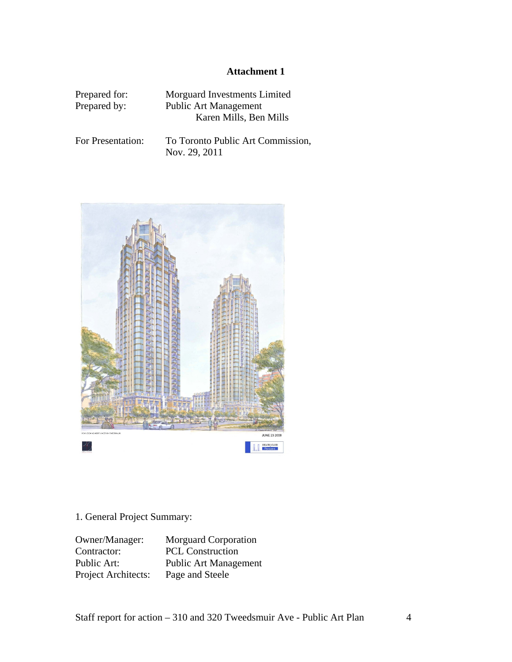#### **Attachment 1**

| Prepared for: | Morguard Investments Limited |  |  |
|---------------|------------------------------|--|--|
| Prepared by:  | <b>Public Art Management</b> |  |  |
|               | Karen Mills, Ben Mills       |  |  |
|               |                              |  |  |

For Presentation: To Toronto Public Art Commission,<br>Nov. 29, 2011 Nov. 29, 2011



#### 1. General Project Summary:

Owner/Manager: Morguard Corporation Contractor: PCL Construction Public Art: Public Art Management Project Architects: Page and Steele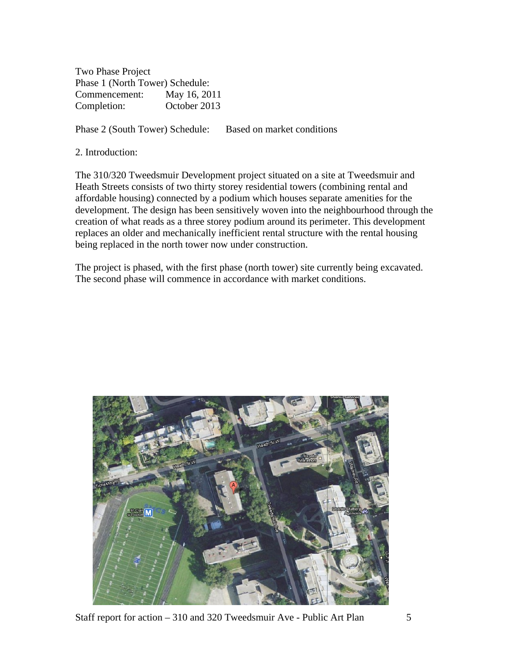Two Phase Project Phase 1 (North Tower) Schedule: Commencement: May 16, 2011 Completion: October 2013

Phase 2 (South Tower) Schedule: Based on market conditions

2. Introduction:

The 310/320 Tweedsmuir Development project situated on a site at Tweedsmuir and Heath Streets consists of two thirty storey residential towers (combining rental and affordable housing) connected by a podium which houses separate amenities for the development. The design has been sensitively woven into the neighbourhood through the creation of what reads as a three storey podium around its perimeter. This development replaces an older and mechanically inefficient rental structure with the rental housing being replaced in the north tower now under construction.

The project is phased, with the first phase (north tower) site currently being excavated. The second phase will commence in accordance with market conditions.



Staff report for action – 310 and 320 Tweedsmuir Ave - Public Art Plan 5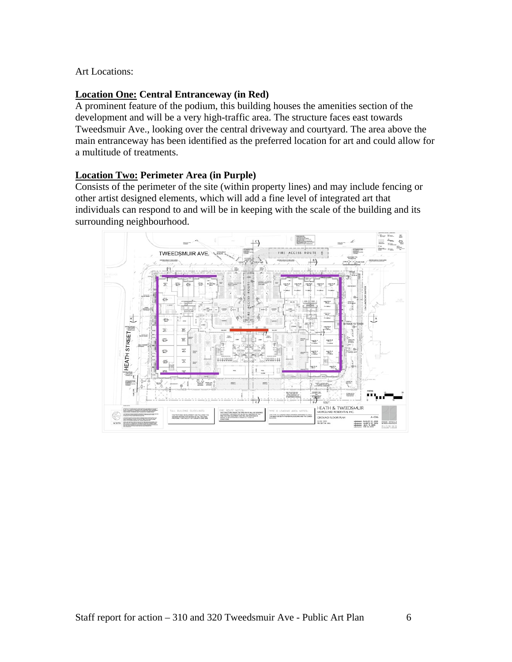#### Art Locations:

#### **Location One: Central Entranceway (in Red)**

A prominent feature of the podium, this building houses the amenities section of the development and will be a very high-traffic area. The structure faces east towards Tweedsmuir Ave., looking over the central driveway and courtyard. The area above the main entranceway has been identified as the preferred location for art and could allow for a multitude of treatments.

#### **Location Two: Perimeter Area (in Purple)**

Consists of the perimeter of the site (within property lines) and may include fencing or other artist designed elements, which will add a fine level of integrated art that individuals can respond to and will be in keeping with the scale of the building and its surrounding neighbourhood.

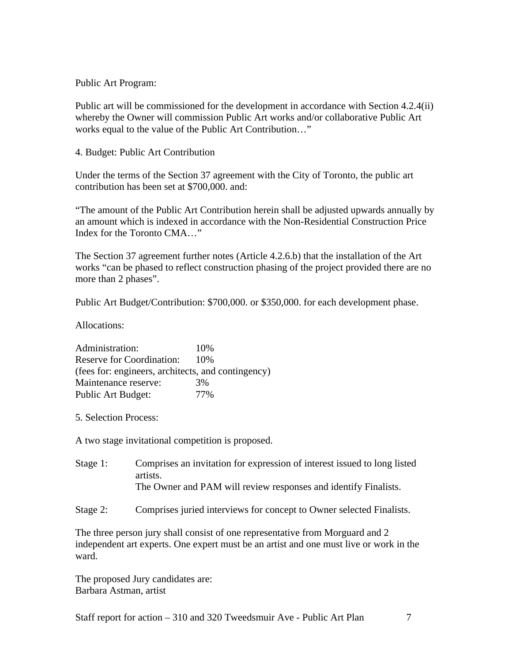Public Art Program:

Public art will be commissioned for the development in accordance with Section 4.2.4(ii) whereby the Owner will commission Public Art works and/or collaborative Public Art works equal to the value of the Public Art Contribution…"

4. Budget: Public Art Contribution

Under the terms of the Section 37 agreement with the City of Toronto, the public art contribution has been set at \$700,000. and:

"The amount of the Public Art Contribution herein shall be adjusted upwards annually by an amount which is indexed in accordance with the Non-Residential Construction Price Index for the Toronto CMA…"

The Section 37 agreement further notes (Article 4.2.6.b) that the installation of the Art works "can be phased to reflect construction phasing of the project provided there are no more than 2 phases".

Public Art Budget/Contribution: \$700,000. or \$350,000. for each development phase.

Allocations:

Administration: 10% Reserve for Coordination: 10% (fees for: engineers, architects, and contingency) Maintenance reserve:  $3\%$ Public Art Budget:  $77\%$ 

5. Selection Process:

A two stage invitational competition is proposed.

Stage 1: Comprises an invitation for expression of interest issued to long listed artists. The Owner and PAM will review responses and identify Finalists.

Stage 2: Comprises juried interviews for concept to Owner selected Finalists.

The three person jury shall consist of one representative from Morguard and 2 independent art experts. One expert must be an artist and one must live or work in the ward. **Example 2018** 

The proposed Jury candidates are: Barbara Astman, artist

Staff report for action – 310 and 320 Tweedsmuir Ave - Public Art Plan 7